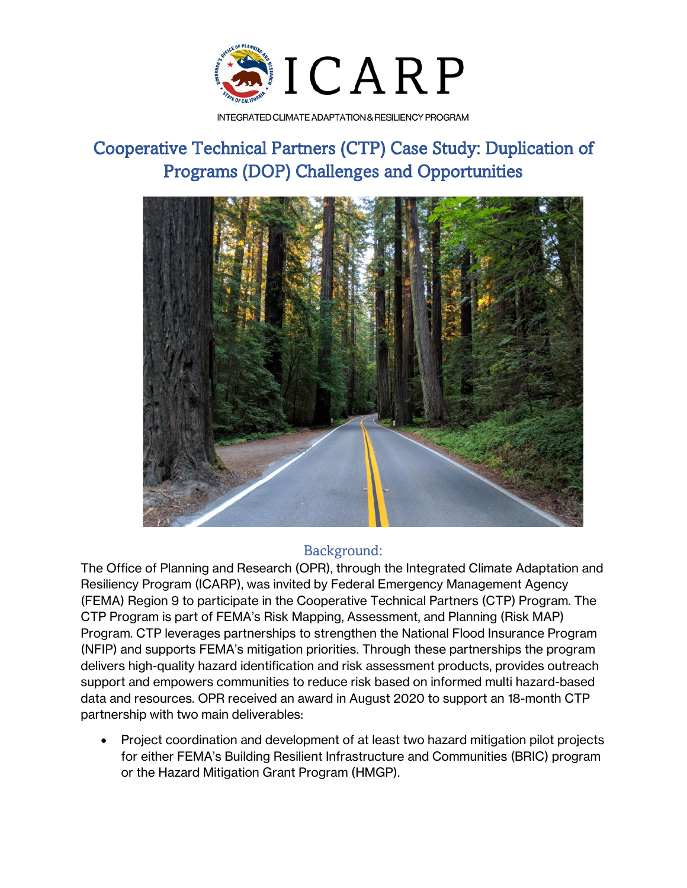

INTEGRATED CLIMATE ADAPTATION & RESILIENCY PROGRAM

# Cooperative Technical Partners (CTP) Case Study: Duplication of Programs (DOP) Challenges and Opportunities



## Background:

The Office of Planning and Research (OPR), through the Integrated Climate Adaptation and Resiliency Program (ICARP), was invited by Federal Emergency Management Agency (FEMA) Region 9 to participate in the Cooperative Technical Partners (CTP) Program. The CTP Program is part of FEMA's Risk Mapping, Assessment, and Planning (Risk MAP) Program. CTP leverages partnerships to strengthen the National Flood Insurance Program (NFIP) and supports FEMA's mitigation priorities. Through these partnerships the program delivers high-quality hazard identification and risk assessment products, provides outreach support and empowers communities to reduce risk based on informed multi hazard-based data and resources. OPR received an award in August 2020 to support an 18-month CTP partnership with two main deliverables:

• Project coordination and development of at least two hazard mitigation pilot projects for either FEMA's Building Resilient Infrastructure and Communities (BRIC) program or the Hazard Mitigation Grant Program (HMGP).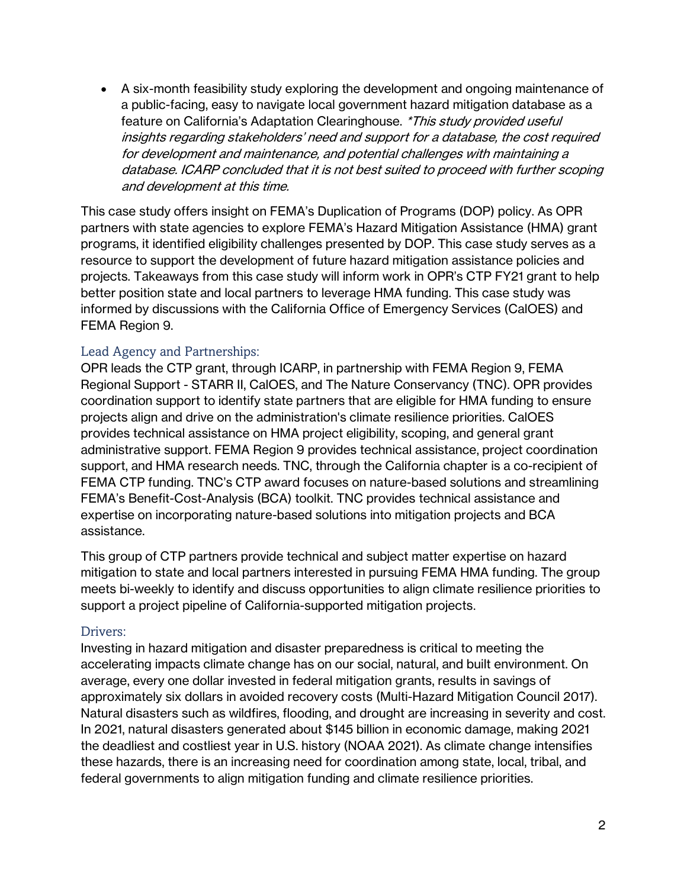• A six-month feasibility study exploring the development and ongoing maintenance of a public-facing, easy to navigate local government hazard mitigation database as a feature on California's Adaptation Clearinghouse. \*This study provided useful insights regarding stakeholders' need and support for a database, the cost required for development and maintenance, and potential challenges with maintaining a database. ICARP concluded that it is not best suited to proceed with further scoping and development at this time.

This case study offers insight on FEMA's Duplication of Programs (DOP) policy. As OPR partners with state agencies to explore FEMA's Hazard Mitigation Assistance (HMA) grant programs, it identified eligibility challenges presented by DOP. This case study serves as a resource to support the development of future hazard mitigation assistance policies and projects. Takeaways from this case study will inform work in OPR's CTP FY21 grant to help better position state and local partners to leverage HMA funding. This case study was informed by discussions with the California Office of Emergency Services (CalOES) and FEMA Region 9.

#### Lead Agency and Partnerships:

OPR leads the CTP grant, through ICARP, in partnership with FEMA Region 9, FEMA Regional Support - STARR II, CalOES, and The Nature Conservancy (TNC). OPR provides coordination support to identify state partners that are eligible for HMA funding to ensure projects align and drive on the administration's climate resilience priorities. CalOES provides technical assistance on HMA project eligibility, scoping, and general grant administrative support. FEMA Region 9 provides technical assistance, project coordination support, and HMA research needs. TNC, through the California chapter is a co-recipient of FEMA CTP funding. TNC's CTP award focuses on nature-based solutions and streamlining FEMA's Benefit-Cost-Analysis (BCA) toolkit. TNC provides technical assistance and expertise on incorporating nature-based solutions into mitigation projects and BCA assistance.

This group of CTP partners provide technical and subject matter expertise on hazard mitigation to state and local partners interested in pursuing FEMA HMA funding. The group meets bi-weekly to identify and discuss opportunities to align climate resilience priorities to support a project pipeline of California-supported mitigation projects.

#### Drivers:

Investing in hazard mitigation and disaster preparedness is critical to meeting the accelerating impacts climate change has on our social, natural, and built environment. On average, every one dollar invested in federal mitigation grants, results in savings of approximately six dollars in avoided recovery costs (Multi-Hazard Mitigation Council 2017). Natural disasters such as wildfires, flooding, and drought are increasing in severity and cost. In 2021, natural disasters generated about \$145 billion in economic damage, making 2021 the deadliest and costliest year in U.S. history (NOAA 2021). As climate change intensifies these hazards, there is an increasing need for coordination among state, local, tribal, and federal governments to align mitigation funding and climate resilience priorities.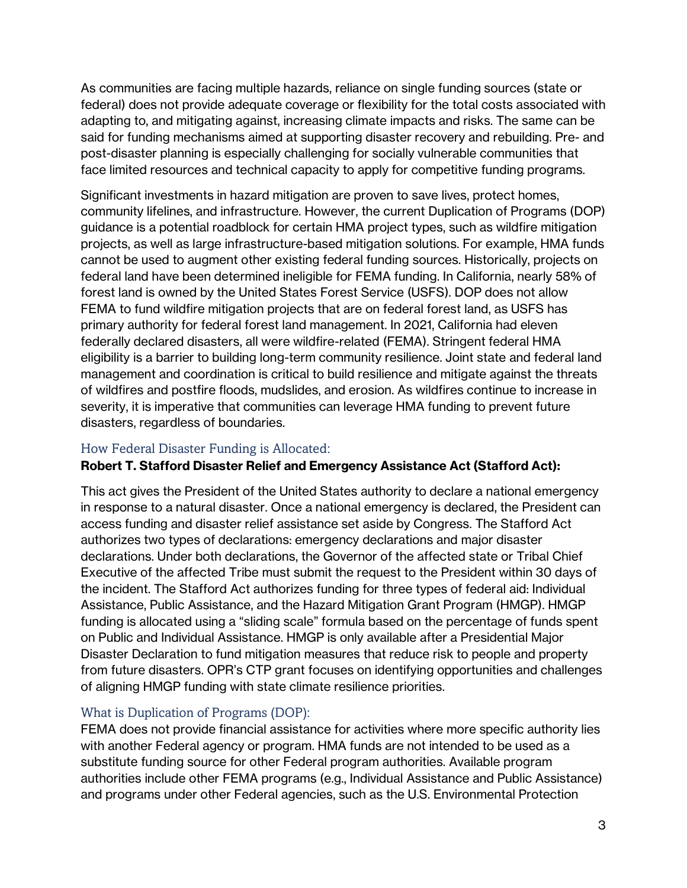As communities are facing multiple hazards, reliance on single funding sources (state or federal) does not provide adequate coverage or flexibility for the total costs associated with adapting to, and mitigating against, increasing climate impacts and risks. The same can be said for funding mechanisms aimed at supporting disaster recovery and rebuilding. Pre- and post-disaster planning is especially challenging for socially vulnerable communities that face limited resources and technical capacity to apply for competitive funding programs.

Significant investments in hazard mitigation are proven to save lives, protect homes, community lifelines, and infrastructure. However, the current Duplication of Programs (DOP) guidance is a potential roadblock for certain HMA project types, such as wildfire mitigation projects, as well as large infrastructure-based mitigation solutions. For example, HMA funds cannot be used to augment other existing federal funding sources. Historically, projects on federal land have been determined ineligible for FEMA funding. In California, nearly 58% of forest land is owned by the United States Forest Service (USFS). DOP does not allow FEMA to fund wildfire mitigation projects that are on federal forest land, as USFS has primary authority for federal forest land management. In 2021, California had eleven federally declared disasters, all were wildfire-related (FEMA). Stringent federal HMA eligibility is a barrier to building long-term community resilience. Joint state and federal land management and coordination is critical to build resilience and mitigate against the threats of wildfires and postfire floods, mudslides, and erosion. As wildfires continue to increase in severity, it is imperative that communities can leverage HMA funding to prevent future disasters, regardless of boundaries.

## How Federal Disaster Funding is Allocated:

## **Robert T. Stafford Disaster Relief and Emergency Assistance Act (Stafford Act):**

This act gives the President of the United States authority to declare a national emergency in response to a natural disaster. Once a national emergency is declared, the President can access funding and disaster relief assistance set aside by Congress. The Stafford Act authorizes two types of declarations: emergency declarations and major disaster declarations. Under both declarations, the Governor of the affected state or Tribal Chief Executive of the affected Tribe must submit the request to the President within 30 days of the incident. The Stafford Act authorizes funding for three types of federal aid: Individual Assistance, Public Assistance, and the Hazard Mitigation Grant Program (HMGP). HMGP funding is allocated using a "sliding scale" formula based on the percentage of funds spent on Public and Individual Assistance. HMGP is only available after a Presidential Major Disaster Declaration to fund mitigation measures that reduce risk to people and property from future disasters. OPR's CTP grant focuses on identifying opportunities and challenges of aligning HMGP funding with state climate resilience priorities.

## What is Duplication of Programs (DOP):

FEMA does not provide financial assistance for activities where more specific authority lies with another Federal agency or program. HMA funds are not intended to be used as a substitute funding source for other Federal program authorities. Available program authorities include other FEMA programs (e.g., Individual Assistance and Public Assistance) and programs under other Federal agencies, such as the U.S. Environmental Protection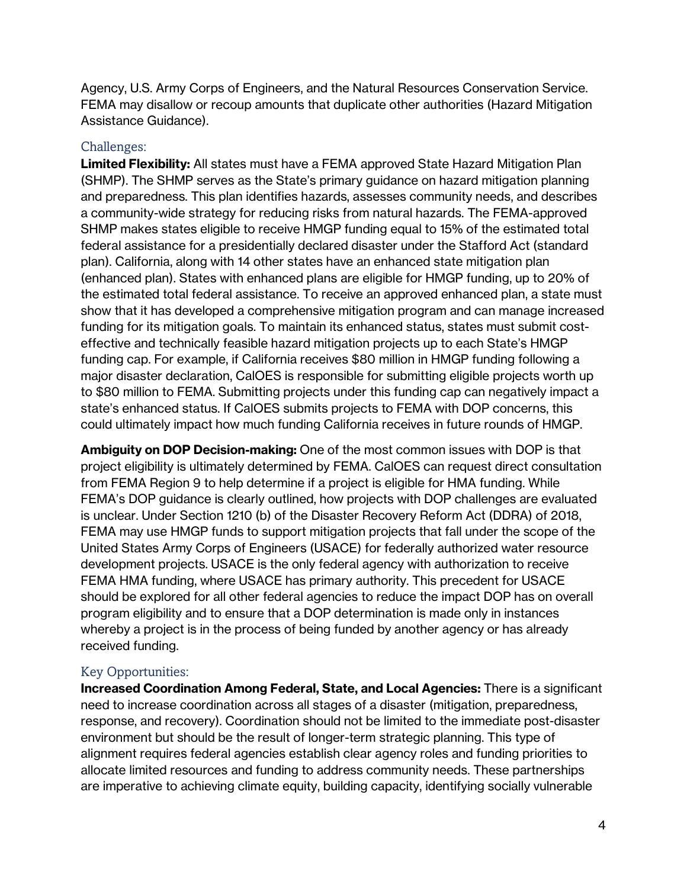Agency, U.S. Army Corps of Engineers, and the Natural Resources Conservation Service. FEMA may disallow or recoup amounts that duplicate other authorities (Hazard Mitigation Assistance Guidance).

## Challenges:

**Limited Flexibility:** All states must have a FEMA approved State Hazard Mitigation Plan (SHMP). The SHMP serves as the State's primary guidance on hazard mitigation planning and preparedness. This plan identifies hazards, assesses community needs, and describes a community-wide strategy for reducing risks from natural hazards. The FEMA-approved SHMP makes states eligible to receive HMGP funding equal to 15% of the estimated total federal assistance for a presidentially declared disaster under the Stafford Act (standard plan). California, along with 14 other states have an enhanced state mitigation plan (enhanced plan). States with enhanced plans are eligible for HMGP funding, up to 20% of the estimated total federal assistance. To receive an approved enhanced plan, a state must show that it has developed a comprehensive mitigation program and can manage increased funding for its mitigation goals. To maintain its enhanced status, states must submit costeffective and technically feasible hazard mitigation projects up to each State's HMGP funding cap. For example, if California receives \$80 million in HMGP funding following a major disaster declaration, CalOES is responsible for submitting eligible projects worth up to \$80 million to FEMA. Submitting projects under this funding cap can negatively impact a state's enhanced status. If CalOES submits projects to FEMA with DOP concerns, this could ultimately impact how much funding California receives in future rounds of HMGP.

**Ambiguity on DOP Decision-making:** One of the most common issues with DOP is that project eligibility is ultimately determined by FEMA. CalOES can request direct consultation from FEMA Region 9 to help determine if a project is eligible for HMA funding. While FEMA's DOP guidance is clearly outlined, how projects with DOP challenges are evaluated is unclear. Under Section 1210 (b) of the Disaster Recovery Reform Act (DDRA) of 2018, FEMA may use HMGP funds to support mitigation projects that fall under the scope of the United States Army Corps of Engineers (USACE) for federally authorized water resource development projects. USACE is the only federal agency with authorization to receive FEMA HMA funding, where USACE has primary authority. This precedent for USACE should be explored for all other federal agencies to reduce the impact DOP has on overall program eligibility and to ensure that a DOP determination is made only in instances whereby a project is in the process of being funded by another agency or has already received funding.

## Key Opportunities:

**Increased Coordination Among Federal, State, and Local Agencies:** There is a significant need to increase coordination across all stages of a disaster (mitigation, preparedness, response, and recovery). Coordination should not be limited to the immediate post-disaster environment but should be the result of longer-term strategic planning. This type of alignment requires federal agencies establish clear agency roles and funding priorities to allocate limited resources and funding to address community needs. These partnerships are imperative to achieving climate equity, building capacity, identifying socially vulnerable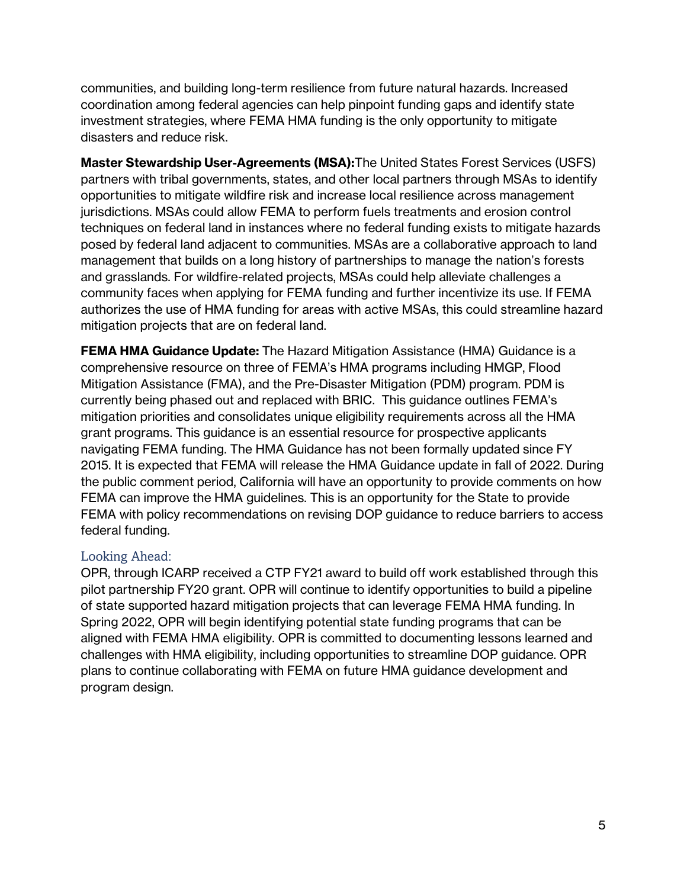communities, and building long-term resilience from future natural hazards. Increased coordination among federal agencies can help pinpoint funding gaps and identify state investment strategies, where FEMA HMA funding is the only opportunity to mitigate disasters and reduce risk.

**Master Stewardship User-Agreements (MSA):**The United States Forest Services (USFS) partners with tribal governments, states, and other local partners through MSAs to identify opportunities to mitigate wildfire risk and increase local resilience across management jurisdictions. MSAs could allow FEMA to perform fuels treatments and erosion control techniques on federal land in instances where no federal funding exists to mitigate hazards posed by federal land adjacent to communities. MSAs are a collaborative approach to land management that builds on a long history of partnerships to manage the nation's forests and grasslands. For wildfire-related projects, MSAs could help alleviate challenges a community faces when applying for FEMA funding and further incentivize its use. If FEMA authorizes the use of HMA funding for areas with active MSAs, this could streamline hazard mitigation projects that are on federal land.

**FEMA HMA Guidance Update:** The Hazard Mitigation Assistance (HMA) Guidance is a comprehensive resource on three of FEMA's HMA programs including HMGP, Flood Mitigation Assistance (FMA), and the Pre-Disaster Mitigation (PDM) program. PDM is currently being phased out and replaced with BRIC. This guidance outlines FEMA's mitigation priorities and consolidates unique eligibility requirements across all the HMA grant programs. This guidance is an essential resource for prospective applicants navigating FEMA funding. The HMA Guidance has not been formally updated since FY 2015. It is expected that FEMA will release the HMA Guidance update in fall of 2022. During the public comment period, California will have an opportunity to provide comments on how FEMA can improve the HMA guidelines. This is an opportunity for the State to provide FEMA with policy recommendations on revising DOP guidance to reduce barriers to access federal funding.

## Looking Ahead:

OPR, through ICARP received a CTP FY21 award to build off work established through this pilot partnership FY20 grant. OPR will continue to identify opportunities to build a pipeline of state supported hazard mitigation projects that can leverage FEMA HMA funding. In Spring 2022, OPR will begin identifying potential state funding programs that can be aligned with FEMA HMA eligibility. OPR is committed to documenting lessons learned and challenges with HMA eligibility, including opportunities to streamline DOP guidance. OPR plans to continue collaborating with FEMA on future HMA guidance development and program design.